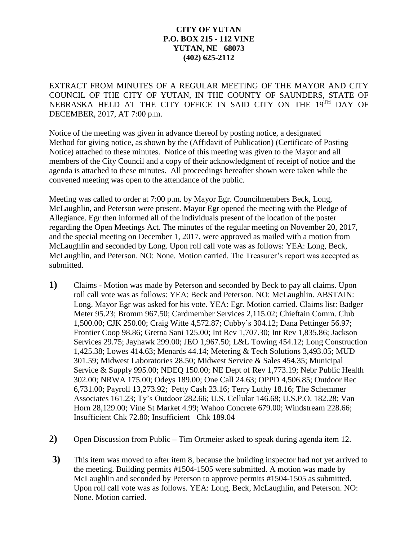## **CITY OF YUTAN P.O. BOX 215 - 112 VINE YUTAN, NE 68073 (402) 625-2112**

EXTRACT FROM MINUTES OF A REGULAR MEETING OF THE MAYOR AND CITY COUNCIL OF THE CITY OF YUTAN, IN THE COUNTY OF SAUNDERS, STATE OF NEBRASKA HELD AT THE CITY OFFICE IN SAID CITY ON THE 19TH DAY OF DECEMBER, 2017, AT 7:00 p.m.

Notice of the meeting was given in advance thereof by posting notice, a designated Method for giving notice, as shown by the (Affidavit of Publication) (Certificate of Posting Notice) attached to these minutes. Notice of this meeting was given to the Mayor and all members of the City Council and a copy of their acknowledgment of receipt of notice and the agenda is attached to these minutes. All proceedings hereafter shown were taken while the convened meeting was open to the attendance of the public.

Meeting was called to order at 7:00 p.m. by Mayor Egr. Councilmembers Beck, Long, McLaughlin, and Peterson were present. Mayor Egr opened the meeting with the Pledge of Allegiance. Egr then informed all of the individuals present of the location of the poster regarding the Open Meetings Act. The minutes of the regular meeting on November 20, 2017, and the special meeting on December 1, 2017, were approved as mailed with a motion from McLaughlin and seconded by Long. Upon roll call vote was as follows: YEA: Long, Beck, McLaughlin, and Peterson. NO: None. Motion carried. The Treasurer's report was accepted as submitted.

- **1)** Claims Motion was made by Peterson and seconded by Beck to pay all claims. Upon roll call vote was as follows: YEA: Beck and Peterson. NO: McLaughlin. ABSTAIN: Long. Mayor Egr was asked for his vote. YEA: Egr. Motion carried. Claims list: Badger Meter 95.23; Bromm 967.50; Cardmember Services 2,115.02; Chieftain Comm. Club 1,500.00; CJK 250.00; Craig Witte 4,572.87; Cubby's 304.12; Dana Pettinger 56.97; Frontier Coop 98.86; Gretna Sani 125.00; Int Rev 1,707.30; Int Rev 1,835.86; Jackson Services 29.75; Jayhawk 299.00; JEO 1,967.50; L&L Towing 454.12; Long Construction 1,425.38; Lowes 414.63; Menards 44.14; Metering & Tech Solutions 3,493.05; MUD 301.59; Midwest Laboratories 28.50; Midwest Service & Sales 454.35; Municipal Service & Supply 995.00; NDEQ 150.00; NE Dept of Rev 1,773.19; Nebr Public Health 302.00; NRWA 175.00; Odeys 189.00; One Call 24.63; OPPD 4,506.85; Outdoor Rec 6,731.00; Payroll 13,273.92; Petty Cash 23.16; Terry Luthy 18.16; The Schemmer Associates 161.23; Ty's Outdoor 282.66; U.S. Cellular 146.68; U.S.P.O. 182.28; Van Horn 28,129.00; Vine St Market 4.99; Wahoo Concrete 679.00; Windstream 228.66; Insufficient Chk 72.80; Insufficient Chk 189.04
- **2)** Open Discussion from Public **–** Tim Ortmeier asked to speak during agenda item 12.
- **3)** This item was moved to after item 8, because the building inspector had not yet arrived to the meeting. Building permits #1504-1505 were submitted. A motion was made by McLaughlin and seconded by Peterson to approve permits #1504-1505 as submitted. Upon roll call vote was as follows. YEA: Long, Beck, McLaughlin, and Peterson. NO: None. Motion carried.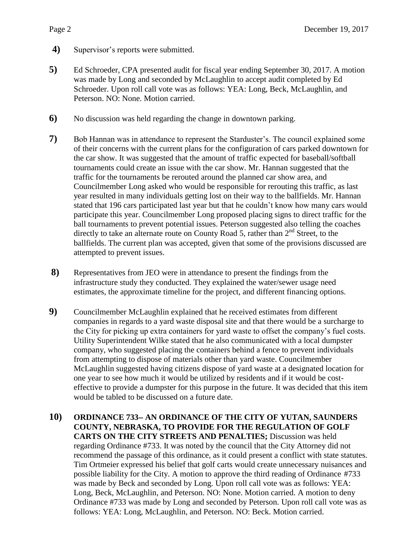- **4)** Supervisor's reports were submitted.
- **5)** Ed Schroeder, CPA presented audit for fiscal year ending September 30, 2017. A motion was made by Long and seconded by McLaughlin to accept audit completed by Ed Schroeder. Upon roll call vote was as follows: YEA: Long, Beck, McLaughlin, and Peterson. NO: None. Motion carried.
- **6)** No discussion was held regarding the change in downtown parking.
- **7)** Bob Hannan was in attendance to represent the Starduster's. The council explained some of their concerns with the current plans for the configuration of cars parked downtown for the car show. It was suggested that the amount of traffic expected for baseball/softball tournaments could create an issue with the car show. Mr. Hannan suggested that the traffic for the tournaments be rerouted around the planned car show area, and Councilmember Long asked who would be responsible for rerouting this traffic, as last year resulted in many individuals getting lost on their way to the ballfields. Mr. Hannan stated that 196 cars participated last year but that he couldn't know how many cars would participate this year. Councilmember Long proposed placing signs to direct traffic for the ball tournaments to prevent potential issues. Peterson suggested also telling the coaches directly to take an alternate route on County Road 5, rather than 2<sup>nd</sup> Street, to the ballfields. The current plan was accepted, given that some of the provisions discussed are attempted to prevent issues.
- **8)** Representatives from JEO were in attendance to present the findings from the infrastructure study they conducted. They explained the water/sewer usage need estimates, the approximate timeline for the project, and different financing options.
- **9)** Councilmember McLaughlin explained that he received estimates from different companies in regards to a yard waste disposal site and that there would be a surcharge to the City for picking up extra containers for yard waste to offset the company's fuel costs. Utility Superintendent Wilke stated that he also communicated with a local dumpster company, who suggested placing the containers behind a fence to prevent individuals from attempting to dispose of materials other than yard waste. Councilmember McLaughlin suggested having citizens dispose of yard waste at a designated location for one year to see how much it would be utilized by residents and if it would be costeffective to provide a dumpster for this purpose in the future. It was decided that this item would be tabled to be discussed on a future date.
- **10) ORDINANCE 733 AN ORDINANCE OF THE CITY OF YUTAN, SAUNDERS COUNTY, NEBRASKA, TO PROVIDE FOR THE REGULATION OF GOLF CARTS ON THE CITY STREETS AND PENALTIES;** Discussion was held regarding Ordinance #733. It was noted by the council that the City Attorney did not recommend the passage of this ordinance, as it could present a conflict with state statutes. Tim Ortmeier expressed his belief that golf carts would create unnecessary nuisances and possible liability for the City. A motion to approve the third reading of Ordinance #733 was made by Beck and seconded by Long. Upon roll call vote was as follows: YEA: Long, Beck, McLaughlin, and Peterson. NO: None. Motion carried. A motion to deny Ordinance #733 was made by Long and seconded by Peterson. Upon roll call vote was as follows: YEA: Long, McLaughlin, and Peterson. NO: Beck. Motion carried.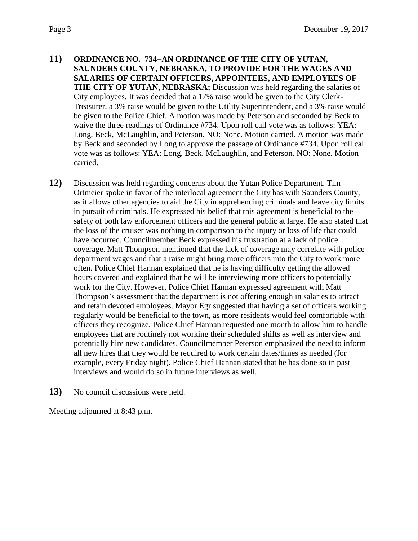- **11) ORDINANCE NO. 734AN ORDINANCE OF THE CITY OF YUTAN, SAUNDERS COUNTY, NEBRASKA, TO PROVIDE FOR THE WAGES AND SALARIES OF CERTAIN OFFICERS, APPOINTEES, AND EMPLOYEES OF THE CITY OF YUTAN, NEBRASKA;** Discussion was held regarding the salaries of City employees. It was decided that a 17% raise would be given to the City Clerk-Treasurer, a 3% raise would be given to the Utility Superintendent, and a 3% raise would be given to the Police Chief. A motion was made by Peterson and seconded by Beck to waive the three readings of Ordinance #734. Upon roll call vote was as follows: YEA: Long, Beck, McLaughlin, and Peterson. NO: None. Motion carried. A motion was made by Beck and seconded by Long to approve the passage of Ordinance #734. Upon roll call vote was as follows: YEA: Long, Beck, McLaughlin, and Peterson. NO: None. Motion carried.
- **12)** Discussion was held regarding concerns about the Yutan Police Department. Tim Ortmeier spoke in favor of the interlocal agreement the City has with Saunders County, as it allows other agencies to aid the City in apprehending criminals and leave city limits in pursuit of criminals. He expressed his belief that this agreement is beneficial to the safety of both law enforcement officers and the general public at large. He also stated that the loss of the cruiser was nothing in comparison to the injury or loss of life that could have occurred. Councilmember Beck expressed his frustration at a lack of police coverage. Matt Thompson mentioned that the lack of coverage may correlate with police department wages and that a raise might bring more officers into the City to work more often. Police Chief Hannan explained that he is having difficulty getting the allowed hours covered and explained that he will be interviewing more officers to potentially work for the City. However, Police Chief Hannan expressed agreement with Matt Thompson's assessment that the department is not offering enough in salaries to attract and retain devoted employees. Mayor Egr suggested that having a set of officers working regularly would be beneficial to the town, as more residents would feel comfortable with officers they recognize. Police Chief Hannan requested one month to allow him to handle employees that are routinely not working their scheduled shifts as well as interview and potentially hire new candidates. Councilmember Peterson emphasized the need to inform all new hires that they would be required to work certain dates/times as needed (for example, every Friday night). Police Chief Hannan stated that he has done so in past interviews and would do so in future interviews as well.
- **13)** No council discussions were held.

Meeting adjourned at 8:43 p.m.